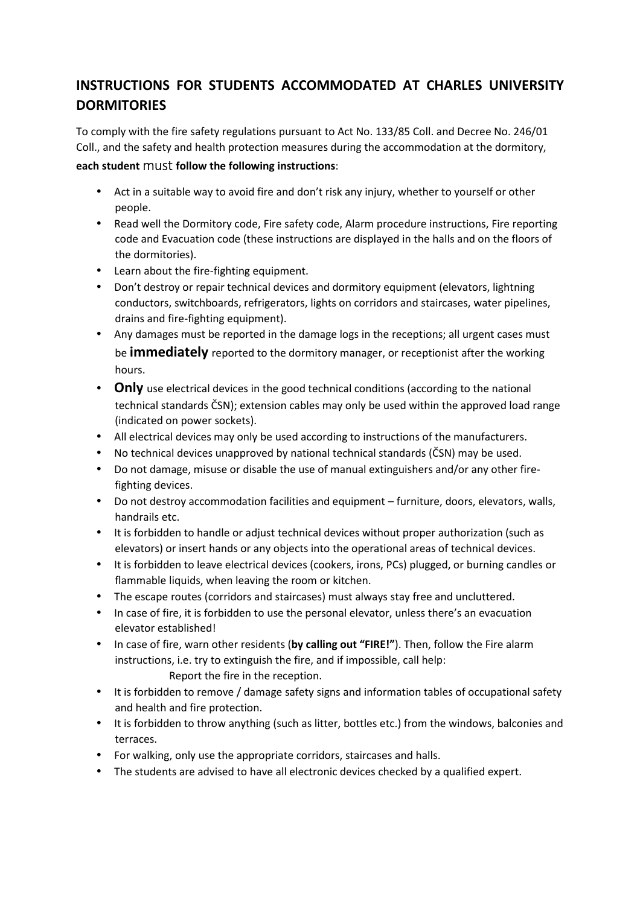## **INSTRUCTIONS FOR STUDENTS ACCOMMODATED AT CHARLES UNIVERSITY DORMITORIES**

To comply with the fire safety regulations pursuant to Act No. 133/85 Coll. and Decree No. 246/01 Coll., and the safety and health protection measures during the accommodation at the dormitory,

## **each student** must **follow the following instructions**:

- Act in a suitable way to avoid fire and don't risk any injury, whether to yourself or other people.
- Read well the Dormitory code, Fire safety code, Alarm procedure instructions, Fire reporting code and Evacuation code (these instructions are displayed in the halls and on the floors of the dormitories).
- Learn about the fire-fighting equipment.
- Don't destroy or repair technical devices and dormitory equipment (elevators, lightning conductors, switchboards, refrigerators, lights on corridors and staircases, water pipelines, drains and fire-fighting equipment).
- Any damages must be reported in the damage logs in the receptions; all urgent cases must be **immediately** reported to the dormitory manager, or receptionist after the working hours.
- **Only** use electrical devices in the good technical conditions (according to the national technical standards ČSN); extension cables may only be used within the approved load range (indicated on power sockets).
- All electrical devices may only be used according to instructions of the manufacturers.
- No technical devices unapproved by national technical standards (ČSN) may be used.
- Do not damage, misuse or disable the use of manual extinguishers and/or any other firefighting devices.
- Do not destroy accommodation facilities and equipment furniture, doors, elevators, walls, handrails etc.
- It is forbidden to handle or adjust technical devices without proper authorization (such as elevators) or insert hands or any objects into the operational areas of technical devices.
- It is forbidden to leave electrical devices (cookers, irons, PCs) plugged, or burning candles or flammable liquids, when leaving the room or kitchen.
- The escape routes (corridors and staircases) must always stay free and uncluttered.
- In case of fire, it is forbidden to use the personal elevator, unless there's an evacuation elevator established!
- In case of fire, warn other residents (**by calling out "FIRE!"**). Then, follow the Fire alarm instructions, i.e. try to extinguish the fire, and if impossible, call help: Report the fire in the reception.
- It is forbidden to remove / damage safety signs and information tables of occupational safety and health and fire protection.
- It is forbidden to throw anything (such as litter, bottles etc.) from the windows, balconies and terraces.
- For walking, only use the appropriate corridors, staircases and halls.
- The students are advised to have all electronic devices checked by a qualified expert.